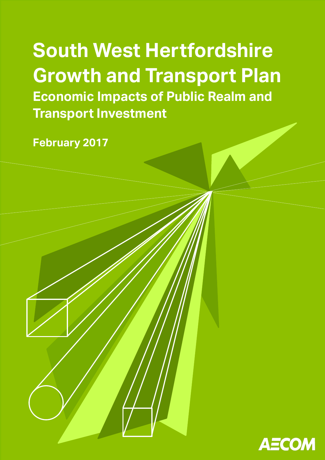**South West Hertfordshire Growth and Transport Plan Transport Investment Conomic Realm Construction South West Hertfordshire Growth and Transport Plan Economic Impacts of Public Realm and** 

**and Transport Investment February 2017**

**February 2017**

**Discussion Paper (Draft)**

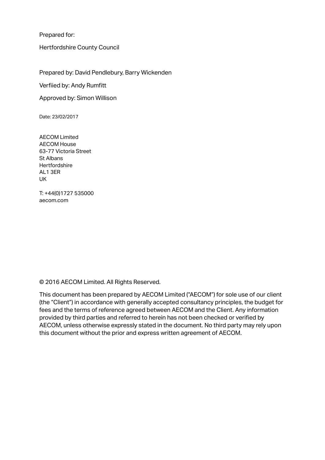Prepared for:

Hertfordshire County Council

Prepared by: David Pendlebury, Barry Wickenden

Verfiied by: Andy Rumfitt

Approved by: Simon Willison

Date: 23/02/2017

AECOM Limited AECOM House 63-77 Victoria Street St Albans **Hertfordshire** AL1 3ER UK

T: +44(0)1727 535000 aecom.com

© 2016 AECOM Limited. All Rights Reserved.

This document has been prepared by AECOM Limited ("AECOM") for sole use of our client (the "Client") in accordance with generally accepted consultancy principles, the budget for fees and the terms of reference agreed between AECOM and the Client. Any information provided by third parties and referred to herein has not been checked or verified by AECOM, unless otherwise expressly stated in the document. No third party may rely upon this document without the prior and express written agreement of AECOM.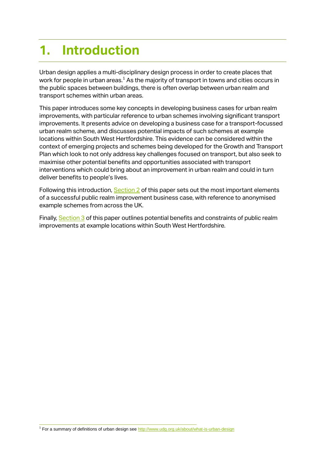# **1. Introduction**

Urban design applies a multi-disciplinary design process in order to create places that work for people in urban areas.<sup>1</sup> As the majority of transport in towns and cities occurs in the public spaces between buildings, there is often overlap between urban realm and transport schemes within urban areas.

This paper introduces some key concepts in developing business cases for urban realm improvements, with particular reference to urban schemes involving significant transport improvements. It presents advice on developing a business case for a transport-focussed urban realm scheme, and discusses potential impacts of such schemes at example locations within South West Hertfordshire. This evidence can be considered within the context of emerging projects and schemes being developed for the Growth and Transport Plan which look to not only address key challenges focused on transport, but also seek to maximise other potential benefits and opportunities associated with transport interventions which could bring about an improvement in urban realm and could in turn deliver benefits to people's lives.

Following this introduction, [Section 2](#page-3-0) of this paper sets out the most important elements of a successful public realm improvement business case, with reference to anonymised example schemes from across the UK.

Finally, [Section](#page-11-0) 3 of this paper outlines potential benefits and constraints of public realm improvements at example locations within South West Hertfordshire.

1 For a summary of definitions of urban design see <http://www.udg.org.uk/about/what-is-urban-design>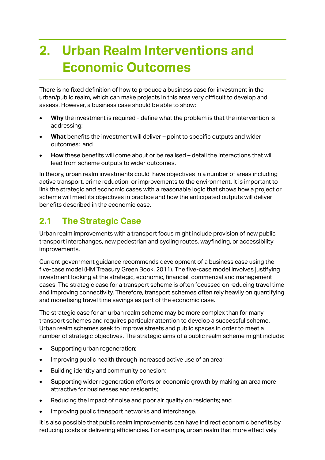# <span id="page-3-0"></span>**2. Urban Realm Interventions and Economic Outcomes**

There is no fixed definition of how to produce a business case for investment in the urban/public realm, which can make projects in this area very difficult to develop and assess. However, a business case should be able to show:

- **Why** the investment is required define what the problem is that the intervention is addressing;
- **What** benefits the investment will deliver point to specific outputs and wider outcomes; and
- **How** these benefits will come about or be realised detail the interactions that will lead from scheme outputs to wider outcomes.

In theory, urban realm investments could have objectives in a number of areas including active transport, crime reduction, or improvements to the environment. It is important to link the strategic and economic cases with a reasonable logic that shows how a project or scheme will meet its objectives in practice and how the anticipated outputs will deliver benefits described in the economic case.

# **2.1 The Strategic Case**

Urban realm improvements with a transport focus might include provision of new public transport interchanges, new pedestrian and cycling routes, wayfinding, or accessibility improvements.

Current government guidance recommends development of a business case using the five-case model (HM Treasury Green Book, 2011). The five-case model involves justifying investment looking at the strategic, economic, financial, commercial and management cases. The strategic case for a transport scheme is often focussed on reducing travel time and improving connectivity. Therefore, transport schemes often rely heavily on quantifying and monetising travel time savings as part of the economic case.

The strategic case for an urban realm scheme may be more complex than for many transport schemes and requires particular attention to develop a successful scheme. Urban realm schemes seek to improve streets and public spaces in order to meet a number of strategic objectives. The strategic aims of a public realm scheme might include:

- Supporting urban regeneration;
- Improving public health through increased active use of an area;
- Building identity and community cohesion;
- Supporting wider regeneration efforts or economic growth by making an area more attractive for businesses and residents;
- Reducing the impact of noise and poor air quality on residents; and
- Improving public transport networks and interchange.

It is also possible that public realm improvements can have indirect economic benefits by reducing costs or delivering efficiencies. For example, urban realm that more effectively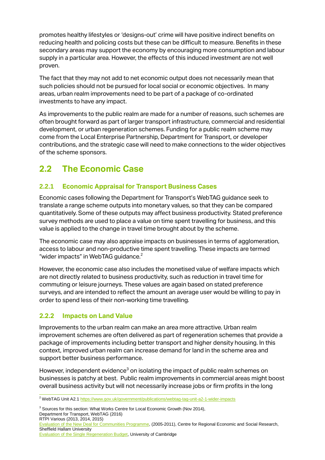promotes healthy lifestyles or 'designs-out' crime will have positive indirect benefits on reducing health and policing costs but these can be difficult to measure. Benefits in these secondary areas may support the economy by encouraging more consumption and labour supply in a particular area. However, the effects of this induced investment are not well proven.

The fact that they may not add to net economic output does not necessarily mean that such policies should not be pursued for local social or economic objectives. In many areas, urban realm improvements need to be part of a package of co-ordinated investments to have any impact.

As improvements to the public realm are made for a number of reasons, such schemes are often brought forward as part of larger transport infrastructure, commercial and residential development, or urban regeneration schemes. Funding for a public realm scheme may come from the Local Enterprise Partnership, Department for Transport, or developer contributions, and the strategic case will need to make connections to the wider objectives of the scheme sponsors.

# **2.2 The Economic Case**

# **2.2.1 Economic Appraisal for Transport Business Cases**

Economic cases following the Department for Transport's WebTAG guidance seek to translate a range scheme outputs into monetary values, so that they can be compared quantitatively. Some of these outputs may affect business productivity. Stated preference survey methods are used to place a value on time spent travelling for business, and this value is applied to the change in travel time brought about by the scheme.

The economic case may also appraise impacts on businesses in terms of agglomeration, access to labour and non-productive time spent travelling. These impacts are termed "wider impacts" in WebTAG guidance.<sup>2</sup>

However, the economic case also includes the monetised value of welfare impacts which are not directly related to business productivity, such as reduction in travel time for commuting or leisure journeys. These values are again based on stated preference surveys, and are intended to reflect the amount an average user would be willing to pay in order to spend less of their non-working time travelling.

## **2.2.2 Impacts on Land Value**

Improvements to the urban realm can make an area more attractive. Urban realm improvement schemes are often delivered as part of regeneration schemes that provide a package of improvements including better transport and higher density housing. In this context, improved urban realm can increase demand for land in the scheme area and support better business performance.

However, independent evidence<sup>3</sup> on isolating the impact of public realm schemes on businesses is patchy at best. Public realm improvements in commercial areas might boost overall business activity but will not necessarily increase jobs or firm profits in the long

 $\overline{a}$ <sup>2</sup> WebTAG Unit A2.[1 https://www.gov.uk/government/publications/webtag-tag-unit-a2-1-wider-impacts](https://www.gov.uk/government/publications/webtag-tag-unit-a2-1-wider-impacts)

<sup>&</sup>lt;sup>3</sup> Sources for this section: What Works Centre for Local Economic Growth (Nov 2014), Department for Transport, WebTAG (2016) RTPI Various (2013, 2014, 2015) [Evaluation of the New Deal for Communities Programme,](http://extra.shu.ac.uk/ndc/ndc_reports_02.htm) (2005-2011), Centre for Regional Economic and Social Research, Sheffield Hallam University [Evaluation of the Single Regeneration Budget,](http://www.landecon.cam.ac.uk/research/real-estate-and-urban-analysis/urban-and-regional-analysis/projects/evaluation-of-the-single-regeneration-budget-challange-fund) University of Cambridge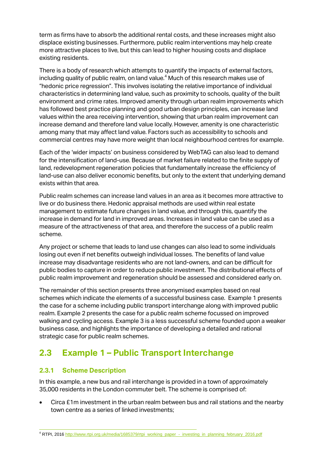term as firms have to absorb the additional rental costs, and these increases might also displace existing businesses. Furthermore, public realm interventions may help create more attractive places to live, but this can lead to higher housing costs and displace existing residents.

There is a body of research which attempts to quantify the impacts of external factors, including quality of public realm, on land value.<sup>4</sup> Much of this research makes use of "hedonic price regression". This involves isolating the relative importance of individual characteristics in determining land value, such as proximity to schools, quality of the built environment and crime rates. Improved amenity through urban realm improvements which has followed best practice planning and good urban design principles, can increase land values within the area receiving intervention, showing that urban realm improvement can increase demand and therefore land value locally. However, amenity is one characteristic among many that may affect land value. Factors such as accessibility to schools and commercial centres may have more weight than local neighbourhood centres for example.

Each of the 'wider impacts' on business considered by WebTAG can also lead to demand for the intensification of land-use. Because of market failure related to the finite supply of land, redevelopment regeneration policies that fundamentally increase the efficiency of land-use can also deliver economic benefits, but only to the extent that underlying demand exists within that area.

Public realm schemes can increase land values in an area as it becomes more attractive to live or do business there. Hedonic appraisal methods are used within real estate management to estimate future changes in land value, and through this, quantify the increase in demand for land in improved areas. Increases in land value can be used as a measure of the attractiveness of that area, and therefore the success of a public realm scheme.

Any project or scheme that leads to land use changes can also lead to some individuals losing out even if net benefits outweigh individual losses. The benefits of land value increase may disadvantage residents who are not land-owners, and can be difficult for public bodies to capture in order to reduce public investment. The distributional effects of public realm improvement and regeneration should be assessed and considered early on.

The remainder of this section presents three anonymised examples based on real schemes which indicate the elements of a successful business case. Example 1 presents the case for a scheme including public transport interchange along with improved public realm. Example 2 presents the case for a public realm scheme focussed on improved walking and cycling access. Example 3 is a less successful scheme founded upon a weaker business case, and highlights the importance of developing a detailed and rational strategic case for public realm schemes.

# **2.3 Example 1 – Public Transport Interchange**

## **2.3.1 Scheme Description**

In this example, a new bus and rail interchange is provided in a town of approximately 35,000 residents in the London commuter belt. The scheme is comprised of:

 Circa £1m investment in the urban realm between bus and rail stations and the nearby town centre as a series of linked investments;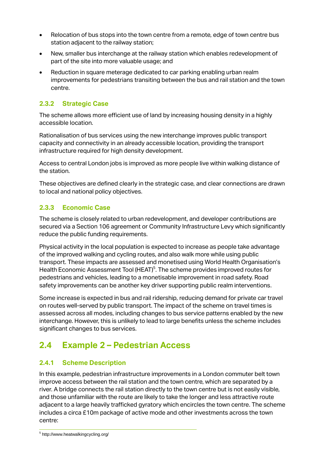- Relocation of bus stops into the town centre from a remote, edge of town centre bus station adjacent to the railway station;
- New, smaller bus interchange at the railway station which enables redevelopment of part of the site into more valuable usage; and
- Reduction in square meterage dedicated to car parking enabling urban realm improvements for pedestrians transiting between the bus and rail station and the town centre.

# **2.3.2 Strategic Case**

The scheme allows more efficient use of land by increasing housing density in a highly accessible location.

Rationalisation of bus services using the new interchange improves public transport capacity and connectivity in an already accessible location, providing the transport infrastructure required for high density development.

Access to central London jobs is improved as more people live within walking distance of the station.

These objectives are defined clearly in the strategic case, and clear connections are drawn to local and national policy objectives.

# **2.3.3 Economic Case**

The scheme is closely related to urban redevelopment, and developer contributions are secured via a Section 106 agreement or Community Infrastructure Levy which significantly reduce the public funding requirements.

Physical activity in the local population is expected to increase as people take advantage of the improved walking and cycling routes, and also walk more while using public transport. These impacts are assessed and monetised using World Health Organisation's Health Economic Assessment Tool (HEAT)<sup>5</sup>. The scheme provides improved routes for pedestrians and vehicles, leading to a monetisable improvement in road safety. Road safety improvements can be another key driver supporting public realm interventions.

Some increase is expected in bus and rail ridership, reducing demand for private car travel on routes well-served by public transport. The impact of the scheme on travel times is assessed across all modes, including changes to bus service patterns enabled by the new interchange. However, this is unlikely to lead to large benefits unless the scheme includes significant changes to bus services.

# **2.4 Example 2 – Pedestrian Access**

## **2.4.1 Scheme Description**

In this example, pedestrian infrastructure improvements in a London commuter belt town improve access between the rail station and the town centre, which are separated by a river. A bridge connects the rail station directly to the town centre but is not easily visible, and those unfamiliar with the route are likely to take the longer and less attractive route adjacent to a large heavily trafficked gyratory which encircles the town centre. The scheme includes a circa £10m package of active mode and other investments across the town centre:

 5 http://www.heatwalkingcycling.org/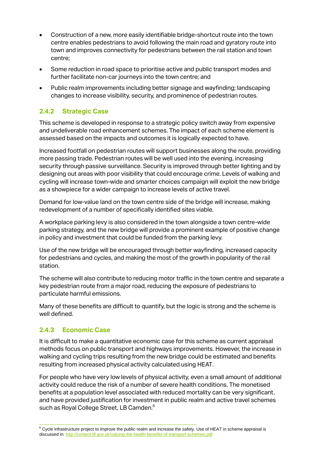- Construction of a new, more easily identifiable bridge-shortcut route into the town centre enables pedestrians to avoid following the main road and gyratory route into town and improves connectivity for pedestrians between the rail station and town centre;
- Some reduction in road space to prioritise active and public transport modes and further facilitate non-car journeys into the town centre; and
- Public realm improvements including better signage and wayfinding; landscaping changes to increase visibility, security, and prominence of pedestrian routes.

# **2.4.2 Strategic Case**

This scheme is developed in response to a strategic policy switch away from expensive and undeliverable road enhancement schemes. The impact of each scheme element is assessed based on the impacts and outcomes it is logically expected to have.

Increased footfall on pedestrian routes will support businesses along the route, providing more passing trade. Pedestrian routes will be well used into the evening, increasing security through passive surveillance. Security is improved through better lighting and by designing out areas with poor visibility that could encourage crime. Levels of walking and cycling will increase town-wide and smarter choices campaign will exploit the new bridge as a showpiece for a wider campaign to increase levels of active travel.

Demand for low-value land on the town centre side of the bridge will increase, making redevelopment of a number of specifically identified sites viable.

A workplace parking levy is also considered in the town alongside a town centre-wide parking strategy, and the new bridge will provide a prominent example of positive change in policy and investment that could be funded from the parking levy.

Use of the new bridge will be encouraged through better wayfinding, increased capacity for pedestrians and cycles, and making the most of the growth in popularity of the rail station.

The scheme will also contribute to reducing motor traffic in the town centre and separate a key pedestrian route from a major road, reducing the exposure of pedestrians to particulate harmful emissions.

Many of these benefits are difficult to quantify, but the logic is strong and the scheme is well defined.

## **2.4.3 Economic Case**

1

It is difficult to make a quantitative economic case for this scheme as current appraisal methods focus on public transport and highways improvements. However, the increase in walking and cycling trips resulting from the new bridge could be estimated and benefits resulting from increased physical activity calculated using HEAT.

For people who have very low levels of physical activity, even a small amount of additional activity could reduce the risk of a number of severe health conditions. The monetised benefits at a population level associated with reduced mortality can be very significant, and have provided justification for investment in public realm and active travel schemes such as Royal College Street, LB Camden.<sup>6</sup>

 $6$  Cycle infrastructure project to improve the public realm and increase the safety. Use of HEAT in scheme appraisal is discussed in[: http://content.tfl.gov.uk/valuing-the-health-benefits-of-transport-schemes.pdf](http://content.tfl.gov.uk/valuing-the-health-benefits-of-transport-schemes.pdf)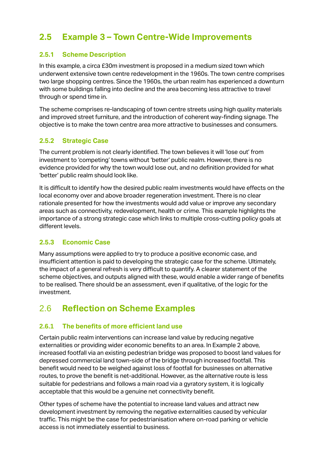# **2.5 Example 3 – Town Centre-Wide Improvements**

## **2.5.1 Scheme Description**

In this example, a circa £30m investment is proposed in a medium sized town which underwent extensive town centre redevelopment in the 1960s. The town centre comprises two large shopping centres. Since the 1960s, the urban realm has experienced a downturn with some buildings falling into decline and the area becoming less attractive to travel through or spend time in.

The scheme comprises re-landscaping of town centre streets using high quality materials and improved street furniture, and the introduction of coherent way-finding signage. The objective is to make the town centre area more attractive to businesses and consumers.

# **2.5.2 Strategic Case**

The current problem is not clearly identified. The town believes it will 'lose out' from investment to 'competing' towns without 'better' public realm. However, there is no evidence provided for why the town would lose out, and no definition provided for what 'better' public realm should look like.

It is difficult to identify how the desired public realm investments would have effects on the local economy over and above broader regeneration investment. There is no clear rationale presented for how the investments would add value or improve any secondary areas such as connectivity, redevelopment, health or crime. This example highlights the importance of a strong strategic case which links to multiple cross-cutting policy goals at different levels.

## **2.5.3 Economic Case**

Many assumptions were applied to try to produce a positive economic case, and insufficient attention is paid to developing the strategic case for the scheme. Ultimately, the impact of a general refresh is very difficult to quantify. A clearer statement of the scheme objectives, and outputs aligned with these, would enable a wider range of benefits to be realised. There should be an assessment, even if qualitative, of the logic for the investment.

# 2.6 **Reflection on Scheme Examples**

# **2.6.1 The benefits of more efficient land use**

Certain public realm interventions can increase land value by reducing negative externalities or providing wider economic benefits to an area. In Example 2 above, increased footfall via an existing pedestrian bridge was proposed to boost land values for depressed commercial land town-side of the bridge through increased footfall. This benefit would need to be weighed against loss of footfall for businesses on alternative routes, to prove the benefit is net-additional. However, as the alternative route is less suitable for pedestrians and follows a main road via a gyratory system, it is logically acceptable that this would be a genuine net connectivity benefit.

Other types of scheme have the potential to increase land values and attract new development investment by removing the negative externalities caused by vehicular traffic. This might be the case for pedestrianisation where on-road parking or vehicle access is not immediately essential to business.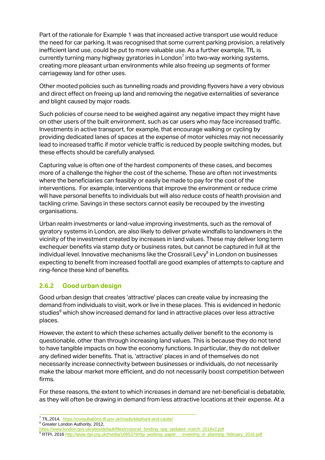Part of the rationale for Example 1 was that increased active transport use would reduce the need for car parking. It was recognised that some current parking provision, a relatively inefficient land use, could be put to more valuable use. As a further example, TfL is currently turning many highway gyratories in London<sup>7</sup> into two-way working systems, creating more pleasant urban environments while also freeing up segments of former carriageway land for other uses.

Other mooted policies such as tunnelling roads and providing flyovers have a very obvious and direct effect on freeing up land and removing the negative externalities of severance and blight caused by major roads.

Such policies of course need to be weighed against any negative impact they might have on other users of the built environment, such as car users who may face increased traffic. Investments in active transport, for example, that encourage walking or cycling by providing dedicated lanes of spaces at the expense of motor vehicles may not necessarily lead to increased traffic if motor vehicle traffic is reduced by people switching modes, but these effects should be carefully analysed.

Capturing value is often one of the hardest components of these cases, and becomes more of a challenge the higher the cost of the scheme. These are often not investments where the beneficiaries can feasibly or easily be made to pay for the cost of the interventions. For example, interventions that improve the environment or reduce crime will have personal benefits to individuals but will also reduce costs of health provision and tackling crime. Savings in these sectors cannot easily be recouped by the investing organisations.

Urban realm investments or land-value improving investments, such as the removal of gyratory systems in London, are also likely to deliver private windfalls to landowners in the vicinity of the investment created by increases in land values. These may deliver long term exchequer benefits via stamp duty or business rates, but cannot be captured in full at the individual level. Innovative mechanisms like the Crossrail Levy<sup>8</sup> in London on businesses expecting to benefit from increased footfall are good examples of attempts to capture and ring-fence these kind of benefits.

# **2.6.2 Good urban design**

Good urban design that creates 'attractive' places can create value by increasing the demand from individuals to visit, work or live in these places. This is evidenced in hedonic studies<sup>9</sup> which show increased demand for land in attractive places over less attractive places.

However, the extent to which these schemes actually deliver benefit to the economy is questionable, other than through increasing land values. This is because they do not tend to have tangible impacts on how the economy functions. In particular, they do not deliver any defined wider benefits. That is, 'attractive' places in and of themselves do not necessarily increase connectivity between businesses or individuals, do not necessarily make the labour market more efficient, and do not necessarily boost competition between firms.

For these reasons, the extent to which increases in demand are net-beneficial is debatable, as they will often be drawing in demand from less attractive locations at their expense. At a

<sup>8</sup> Greater London Authority, 2012,

 $\overline{a}$ <sup>7</sup> TfL,2014,<https://consultations.tfl.gov.uk/roads/elephant-and-castle/>

[https://www.london.gov.uk/sites/default/files/crossrail\\_funding\\_spg\\_updated\\_march\\_2016v2.pdf](https://www.london.gov.uk/sites/default/files/crossrail_funding_spg_updated_march_2016v2.pdf) <sup>9</sup> RTPI, 201[6 http://www.rtpi.org.uk/media/1685379/rtpi\\_working\\_paper\\_-\\_investing\\_in\\_planning\\_february\\_2016.pdf](http://www.rtpi.org.uk/media/1685379/rtpi_working_paper_-_investing_in_planning_february_2016.pdf)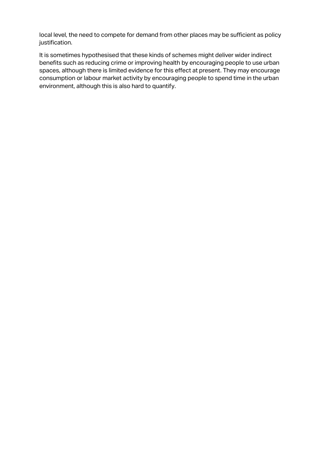local level, the need to compete for demand from other places may be sufficient as policy justification.

It is sometimes hypothesised that these kinds of schemes might deliver wider indirect benefits such as reducing crime or improving health by encouraging people to use urban spaces, although there is limited evidence for this effect at present. They may encourage consumption or labour market activity by encouraging people to spend time in the urban environment, although this is also hard to quantify.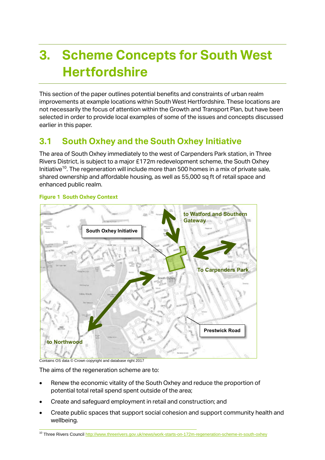# <span id="page-11-0"></span>**3. Scheme Concepts for South West Hertfordshire**

This section of the paper outlines potential benefits and constraints of urban realm improvements at example locations within South West Hertfordshire. These locations are not necessarily the focus of attention within the Growth and Transport Plan, but have been selected in order to provide local examples of some of the issues and concepts discussed earlier in this paper.

# **3.1 South Oxhey and the South Oxhey Initiative**

The area of South Oxhey immediately to the west of Carpenders Park station, in Three Rivers District, is subject to a major £172m redevelopment scheme, the South Oxhey Initiative<sup>10</sup>. The regeneration will include more than 500 homes in a mix of private sale, shared ownership and affordable housing, as well as 55,000 sq ft of retail space and enhanced public realm.



#### **Figure 1 South Oxhey Context**

Contains OS data © Crown copyright and database right 2017

The aims of the regeneration scheme are to:

- Renew the economic vitality of the South Oxhey and reduce the proportion of potential total retail spend spent outside of the area;
- Create and safeguard employment in retail and construction; and
- Create public spaces that support social cohesion and support community health and wellbeing.

<sup>1</sup> <sup>10</sup> Three Rivers Counci[l http://www.threerivers.gov.uk/news/work-starts-on-172m-regeneration-scheme-in-south-oxhey](http://www.threerivers.gov.uk/news/work-starts-on-172m-regeneration-scheme-in-south-oxhey)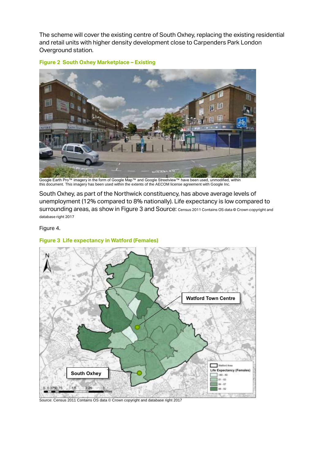The scheme will cover the existing centre of South Oxhey, replacing the existing residential and retail units with higher density development close to Carpenders Park London Overground station.



#### **Figure 2 South Oxhey Marketplace – Existing**

Google Earth Pro™ imagery in the form of Google Map™ and Google Streetview™ have been used, unmodified, within this document. This imagery has been used within the extents of the AECOM license agreement with Google Inc.

South Oxhey, as part of the Northwick constituency, has above average levels of unemployment (12% compared to 8% nationally). Life expectancy is low compared to surrounding areas, as show i[n Figure 3](#page-12-0) and Source: [Census 2011 Contains OS data © Crown copyright and](#page-12-1)  [database right 2017](#page-12-1)

[Figure 4](#page-12-1).

#### <span id="page-12-0"></span>**Figure 3 Life expectancy in Watford (Females)**



<span id="page-12-1"></span>Source: Census 2011 Contains OS data © Crown copyright and database right 2017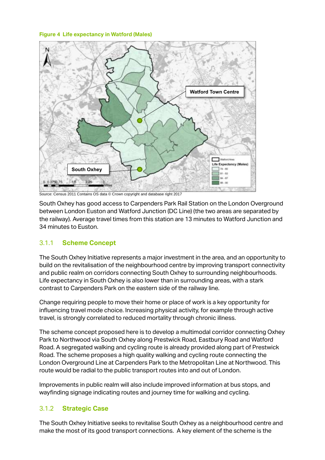#### **Figure 4 Life expectancy in Watford (Males)**



Source: Census 2011 Contains OS data © Crown copyright and database right 2017

South Oxhey has good access to Carpenders Park Rail Station on the London Overground between London Euston and Watford Junction (DC Line) (the two areas are separated by the railway). Average travel times from this station are 13 minutes to Watford Junction and 34 minutes to Euston.

## 3.1.1 **Scheme Concept**

The South Oxhey Initiative represents a major investment in the area, and an opportunity to build on the revitalisation of the neighbourhood centre by improving transport connectivity and public realm on corridors connecting South Oxhey to surrounding neighbourhoods. Life expectancy in South Oxhey is also lower than in surrounding areas, with a stark contrast to Carpenders Park on the eastern side of the railway line.

Change requiring people to move their home or place of work is a key opportunity for influencing travel mode choice. Increasing physical activity, for example through active travel, is strongly correlated to reduced mortality through chronic illness.

The scheme concept proposed here is to develop a multimodal corridor connecting Oxhey Park to Northwood via South Oxhey along Prestwick Road, Eastbury Road and Watford Road. A segregated walking and cycling route is already provided along part of Prestwick Road. The scheme proposes a high quality walking and cycling route connecting the London Overground Line at Carpenders Park to the Metropolitan Line at Northwood. This route would be radial to the public transport routes into and out of London.

Improvements in public realm will also include improved information at bus stops, and wayfinding signage indicating routes and journey time for walking and cycling.

## 3.1.2 **Strategic Case**

The South Oxhey Initiative seeks to revitalise South Oxhey as a neighbourhood centre and make the most of its good transport connections. A key element of the scheme is the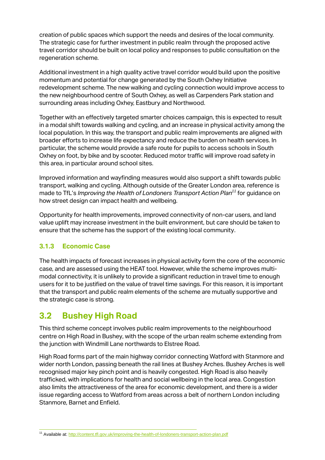creation of public spaces which support the needs and desires of the local community. The strategic case for further investment in public realm through the proposed active travel corridor should be built on local policy and responses to public consultation on the regeneration scheme.

Additional investment in a high quality active travel corridor would build upon the positive momentum and potential for change generated by the South Oxhey Initiative redevelopment scheme. The new walking and cycling connection would improve access to the new neighbourhood centre of South Oxhey, as well as Carpenders Park station and surrounding areas including Oxhey, Eastbury and Northwood.

Together with an effectively targeted smarter choices campaign, this is expected to result in a modal shift towards walking and cycling, and an increase in physical activity among the local population. In this way, the transport and public realm improvements are aligned with broader efforts to increase life expectancy and reduce the burden on health services. In particular, the scheme would provide a safe route for pupils to access schools in South Oxhey on foot, by bike and by scooter. Reduced motor traffic will improve road safety in this area, in particular around school sites.

Improved information and wayfinding measures would also support a shift towards public transport, walking and cycling. Although outside of the Greater London area, reference is made to TfL's *Improving the Health of Londoners Transport Action Plan<sup>11</sup>* for guidance on how street design can impact health and wellbeing.

Opportunity for health improvements, improved connectivity of non-car users, and land value uplift may increase investment in the built environment, but care should be taken to ensure that the scheme has the support of the existing local community.

# **3.1.3 Economic Case**

The health impacts of forecast increases in physical activity form the core of the economic case, and are assessed using the HEAT tool. However, while the scheme improves multimodal connectivity, it is unlikely to provide a significant reduction in travel time to enough users for it to be justified on the value of travel time savings. For this reason, it is important that the transport and public realm elements of the scheme are mutually supportive and the strategic case is strong.

# **3.2 Bushey High Road**

This third scheme concept involves public realm improvements to the neighbourhood centre on High Road in Bushey, with the scope of the urban realm scheme extending from the junction with Windmill Lane northwards to Elstree Road.

High Road forms part of the main highway corridor connecting Watford with Stanmore and wider north London, passing beneath the rail lines at Bushey Arches. Bushey Arches is well recognised major key pinch point and is heavily congested. High Road is also heavily trafficked, with implications for health and social wellbeing in the local area. Congestion also limits the attractiveness of the area for economic development, and there is a wider issue regarding access to Watford from areas across a belt of northern London including Stanmore, Barnet and Enfield.

<sup>1</sup> <sup>11</sup> Available at[: http://content.tfl.gov.uk/improving-the-health-of-londoners-transport-action-plan.pdf](http://content.tfl.gov.uk/improving-the-health-of-londoners-transport-action-plan.pdf)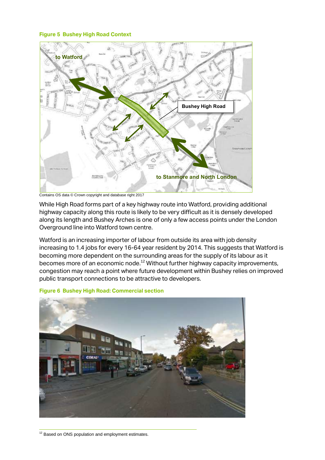#### **Figure 5 Bushey High Road Context**



Contains OS data © Crown copyright and database right 2017

While High Road forms part of a key highway route into Watford, providing additional highway capacity along this route is likely to be very difficult as it is densely developed along its length and Bushey Arches is one of only a few access points under the London Overground line into Watford town centre.

Watford is an increasing importer of labour from outside its area with job density increasing to 1.4 jobs for every 16-64 year resident by 2014. This suggests that Watford is becoming more dependent on the surrounding areas for the supply of its labour as it becomes more of an economic node.<sup>12</sup> Without further highway capacity improvements, congestion may reach a point where future development within Bushey relies on improved public transport connections to be attractive to developers.

#### **Figure 6 Bushey High Road: Commercial section**



1  $12$  Based on ONS population and employment estimates.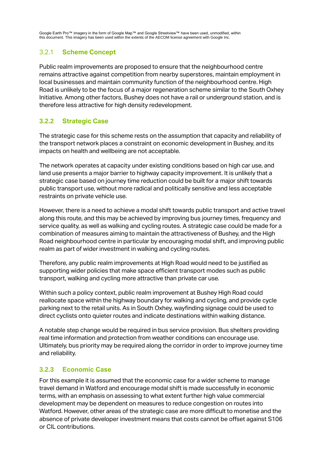Google Earth Pro™ imagery in the form of Google Map™ and Google Streetview™ have been used, unmodified, within this document. This imagery has been used within the extents of the AECOM license agreement with Google Inc.

## 3.2.1 **Scheme Concept**

Public realm improvements are proposed to ensure that the neighbourhood centre remains attractive against competition from nearby superstores, maintain employment in local businesses and maintain community function of the neighbourhood centre. High Road is unlikely to be the focus of a major regeneration scheme similar to the South Oxhey Initiative. Among other factors, Bushey does not have a rail or underground station, and is therefore less attractive for high density redevelopment.

# **3.2.2 Strategic Case**

The strategic case for this scheme rests on the assumption that capacity and reliability of the transport network places a constraint on economic development in Bushey, and its impacts on health and wellbeing are not acceptable.

The network operates at capacity under existing conditions based on high car use, and land use presents a major barrier to highway capacity improvement. It is unlikely that a strategic case based on journey time reduction could be built for a major shift towards public transport use, without more radical and politically sensitive and less acceptable restraints on private vehicle use.

However, there is a need to achieve a modal shift towards public transport and active travel along this route, and this may be achieved by improving bus journey times, frequency and service quality, as well as walking and cycling routes. A strategic case could be made for a combination of measures aiming to maintain the attractiveness of Bushey, and the High Road neighbourhood centre in particular by encouraging modal shift, and improving public realm as part of wider investment in walking and cycling routes.

Therefore, any public realm improvements at High Road would need to be justified as supporting wider policies that make space efficient transport modes such as public transport, walking and cycling more attractive than private car use.

Within such a policy context, public realm improvement at Bushey High Road could reallocate space within the highway boundary for walking and cycling, and provide cycle parking next to the retail units. As in South Oxhey, wayfinding signage could be used to direct cyclists onto quieter routes and indicate destinations within walking distance.

A notable step change would be required in bus service provision. Bus shelters providing real time information and protection from weather conditions can encourage use. Ultimately, bus priority may be required along the corridor in order to improve journey time and reliability.

## **3.2.3 Economic Case**

For this example it is assumed that the economic case for a wider scheme to manage travel demand in Watford and encourage modal shift is made successfully in economic terms, with an emphasis on assessing to what extent further high value commercial development may be dependent on measures to reduce congestion on routes into Watford. However, other areas of the strategic case are more difficult to monetise and the absence of private developer investment means that costs cannot be offset against S106 or CIL contributions.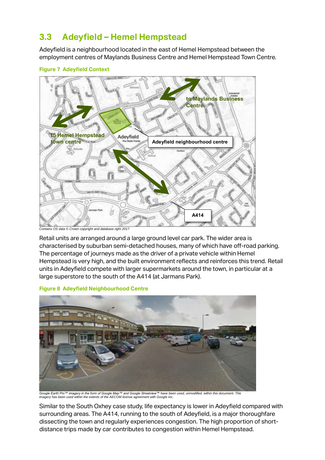# **3.3 Adeyfield – Hemel Hempstead**

Adeyfield is a neighbourhood located in the east of Hemel Hempstead between the employment centres of Maylands Business Centre and Hemel Hempstead Town Centre.



#### **Figure 7 Adeyfield Context**

*Contains OS data © Crown copyright and database right 2017*

Retail units are arranged around a large ground level car park. The wider area is characterised by suburban semi-detached houses, many of which have off-road parking. The percentage of journeys made as the driver of a private vehicle within Hemel Hempstead is very high, and the built environment reflects and reinforces this trend. Retail units in Adeyfield compete with larger supermarkets around the town, in particular at a large superstore to the south of the A414 (at Jarmans Park).

**Figure 8 Adeyfield Neighbourhood Centre**



Google Earth Pro™ imagery in the form of Google Map™ and Google Streetview™ have been used, unmodified, within this document. This<br>imagery has been used within the extents of the AECOM license agreement with Google Inc.

Similar to the South Oxhey case study, life expectancy is lower in Adeyfield compared with surrounding areas. The A414, running to the south of Adeyfield, is a major thoroughfare dissecting the town and regularly experiences congestion. The high proportion of shortdistance trips made by car contributes to congestion within Hemel Hempstead.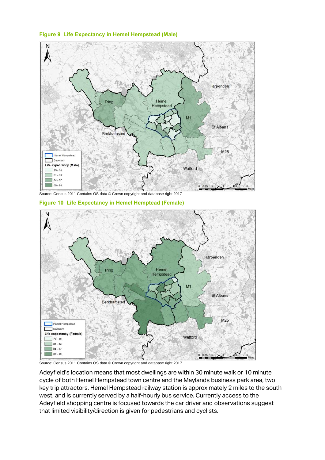**Figure 9 Life Expectancy in Hemel Hempstead (Male)**



**Figure 10 Life Expectancy in Hemel Hemptead (Female)**



Source: Census 2011 Contains OS data © Crown copyright and database right 2017

Adeyfield's location means that most dwellings are within 30 minute walk or 10 minute cycle of both Hemel Hempstead town centre and the Maylands business park area, two key trip attractors. Hemel Hempstead railway station is approximately 2 miles to the south west, and is currently served by a half-hourly bus service. Currently access to the Adeyfield shopping centre is focused towards the car driver and observations suggest that limited visibility/direction is given for pedestrians and cyclists.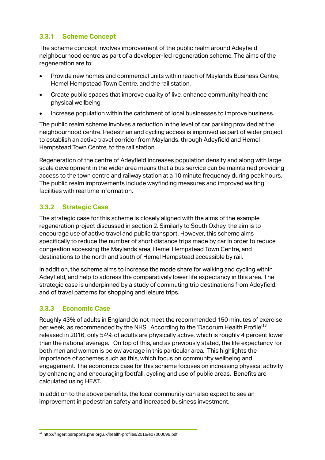## **3.3.1 Scheme Concept**

The scheme concept involves improvement of the public realm around Adeyfield neighbourhood centre as part of a developer-led regeneration scheme. The aims of the regeneration are to:

- Provide new homes and commercial units within reach of Maylands Business Centre, Hemel Hempstead Town Centre, and the rail station.
- Create public spaces that improve quality of live, enhance community health and physical wellbeing.
- Increase population within the catchment of local businesses to improve business.

The public realm scheme involves a reduction in the level of car parking provided at the neighbourhood centre. Pedestrian and cycling access is improved as part of wider project to establish an active travel corridor from Maylands, through Adeyfield and Hemel Hempstead Town Centre, to the rail station.

Regeneration of the centre of Adeyfield increases population density and along with large scale development in the wider area means that a bus service can be maintained providing access to the town centre and railway station at a 10 minute frequency during peak hours. The public realm improvements include wayfinding measures and improved waiting facilities with real time information.

# **3.3.2 Strategic Case**

The strategic case for this scheme is closely aligned with the aims of the example regeneration project discussed in section 2. Similarly to South Oxhey, the aim is to encourage use of active travel and public transport. However, this scheme aims specifically to reduce the number of short distance trips made by car in order to reduce congestion accessing the Maylands area, Hemel Hempstead Town Centre, and destinations to the north and south of Hemel Hempstead accessible by rail.

In addition, the scheme aims to increase the mode share for walking and cycling within Adeyfield, and help to address the comparatively lower life expectancy in this area. The strategic case is underpinned by a study of commuting trip destinations from Adeyfield, and of travel patterns for shopping and leisure trips.

## **3.3.3 Economic Case**

Roughly 43% of adults in England do not meet the recommended 150 minutes of exercise per week, as recommended by the NHS. According to the 'Dacorum Health Profile'<sup>13</sup> released in 2016, only 54% of adults are physically active, which is roughly 4 percent lower than the national average. On top of this, and as previously stated, the life expectancy for both men and women is below average in this particular area. This highlights the importance of schemes such as this, which focus on community wellbeing and engagement. The economics case for this scheme focuses on increasing physical activity by enhancing and encouraging footfall, cycling and use of public areas. Benefits are calculated using HEAT.

In addition to the above benefits, the local community can also expect to see an improvement in pedestrian safety and increased business investment.

<sup>1</sup> <sup>13</sup> http://fingertipsreports.phe.org.uk/health-profiles/2016/e07000096.pdf